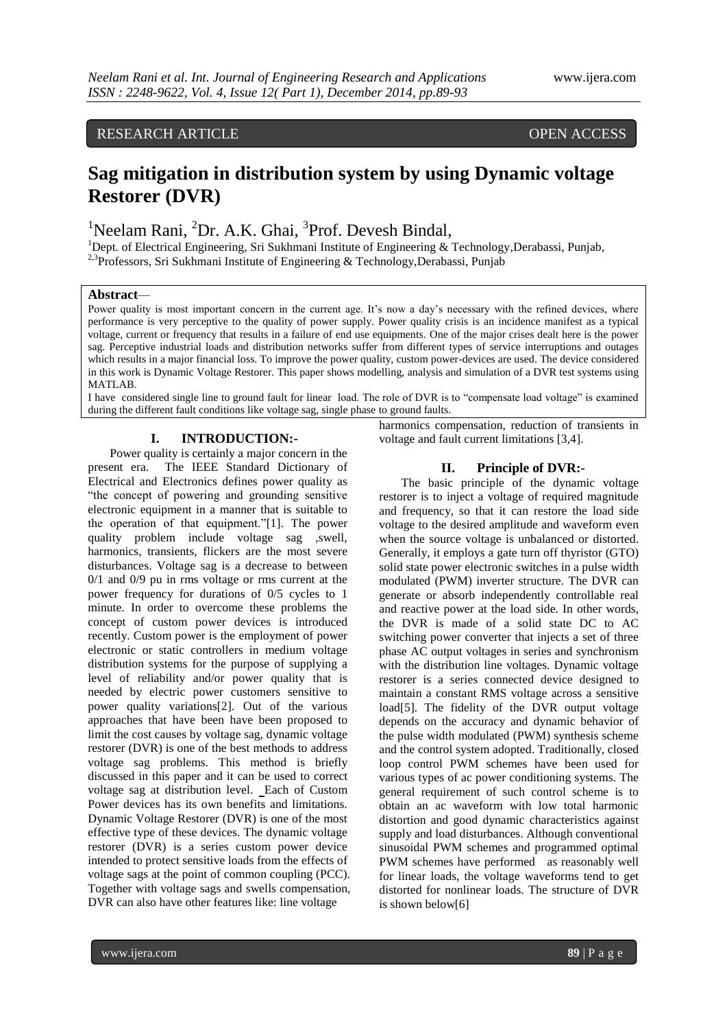# RESEARCH ARTICLE **CONTRACT OPEN ACCESS**

# **Sag mitigation in distribution system by using Dynamic voltage Restorer (DVR)**

<sup>1</sup>Neelam Rani, <sup>2</sup>Dr. A.K. Ghai, <sup>3</sup>Prof. Devesh Bindal,

<sup>1</sup>Dept. of Electrical Engineering, Sri Sukhmani Institute of Engineering & Technology, Derabassi, Punjab, <sup>2,3</sup>Professors, Sri Sukhmani Institute of Engineering & Technology, Derabassi, Punjab

### **Abstract***—*

Power quality is most important concern in the current age. It's now a day's necessary with the refined devices, where performance is very perceptive to the quality of power supply. Power quality crisis is an incidence manifest as a typical voltage, current or frequency that results in a failure of end use equipments. One of the major crises dealt here is the power sag. Perceptive industrial loads and distribution networks suffer from different types of service interruptions and outages which results in a major financial loss. To improve the power quality, custom power-devices are used. The device considered in this work is Dynamic Voltage Restorer. This paper shows modelling, analysis and simulation of a DVR test systems using MATLAB.

I have considered single line to ground fault for linear load. The role of DVR is to "compensate load voltage" is examined during the different fault conditions like voltage sag, single phase to ground faults.

# **I. INTRODUCTION:-**

Power quality is certainly a major concern in the present era. The IEEE Standard Dictionary of Electrical and Electronics defines power quality as "the concept of powering and grounding sensitive electronic equipment in a manner that is suitable to the operation of that equipment."[1]. The power quality problem include voltage sag ,swell, harmonics, transients, flickers are the most severe disturbances. Voltage sag is a decrease to between 0/1 and 0/9 pu in rms voltage or rms current at the power frequency for durations of 0/5 cycles to 1 minute. In order to overcome these problems the concept of custom power devices is introduced recently. Custom power is the employment of power electronic or static controllers in medium voltage distribution systems for the purpose of supplying a level of reliability and/or power quality that is needed by electric power customers sensitive to power quality variations[2]. Out of the various approaches that have been have been proposed to limit the cost causes by voltage sag, dynamic voltage restorer (DVR) is one of the best methods to address voltage sag problems. This method is briefly discussed in this paper and it can be used to correct voltage sag at distribution level. Each of Custom Power devices has its own benefits and limitations. Dynamic Voltage Restorer (DVR) is one of the most effective type of these devices. The dynamic voltage restorer (DVR) is a series custom power device intended to protect sensitive loads from the effects of voltage sags at the point of common coupling (PCC). Together with voltage sags and swells compensation, DVR can also have other features like: line voltage

harmonics compensation, reduction of transients in voltage and fault current limitations [3,4].

### **II. Principle of DVR:-**

The basic principle of the dynamic voltage restorer is to inject a voltage of required magnitude and frequency, so that it can restore the load side voltage to the desired amplitude and waveform even when the source voltage is unbalanced or distorted. Generally, it employs a gate turn off thyristor (GTO) solid state power electronic switches in a pulse width modulated (PWM) inverter structure. The DVR can generate or absorb independently controllable real and reactive power at the load side. In other words, the DVR is made of a solid state DC to AC switching power converter that injects a set of three phase AC output voltages in series and synchronism with the distribution line voltages. Dynamic voltage restorer is a series connected device designed to maintain a constant RMS voltage across a sensitive load<sup>[5]</sup>. The fidelity of the DVR output voltage depends on the accuracy and dynamic behavior of the pulse width modulated (PWM) synthesis scheme and the control system adopted. Traditionally, closed loop control PWM schemes have been used for various types of ac power conditioning systems. The general requirement of such control scheme is to obtain an ac waveform with low total harmonic distortion and good dynamic characteristics against supply and load disturbances. Although conventional sinusoidal PWM schemes and programmed optimal PWM schemes have performed as reasonably well for linear loads, the voltage waveforms tend to get distorted for nonlinear loads. The structure of DVR is shown below[6]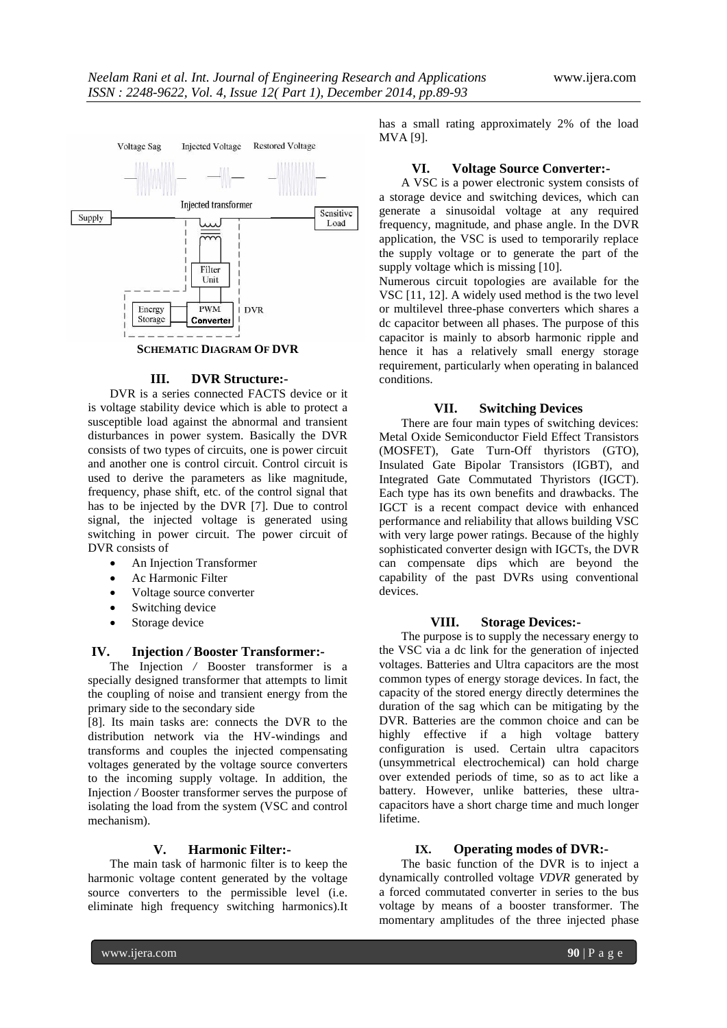

# **III. DVR Structure:-**

DVR is a series connected FACTS device or it is voltage stability device which is able to protect a susceptible load against the abnormal and transient disturbances in power system. Basically the DVR consists of two types of circuits, one is power circuit and another one is control circuit. Control circuit is used to derive the parameters as like magnitude, frequency, phase shift, etc. of the control signal that has to be injected by the DVR [7]. Due to control signal, the injected voltage is generated using switching in power circuit. The power circuit of DVR consists of

- An Injection Transformer
- Ac Harmonic Filter
- Voltage source converter
- Switching device
- Storage device

### **IV. Injection** */* **Booster Transformer:-**

The Injection */* Booster transformer is a specially designed transformer that attempts to limit the coupling of noise and transient energy from the primary side to the secondary side

[8]. Its main tasks are: connects the DVR to the distribution network via the HV-windings and transforms and couples the injected compensating voltages generated by the voltage source converters to the incoming supply voltage. In addition, the Injection */* Booster transformer serves the purpose of isolating the load from the system (VSC and control mechanism).

### **V. Harmonic Filter:-**

The main task of harmonic filter is to keep the harmonic voltage content generated by the voltage source converters to the permissible level (i.e. eliminate high frequency switching harmonics).It has a small rating approximately 2% of the load MVA [9].

### **VI. Voltage Source Converter:-**

A VSC is a power electronic system consists of a storage device and switching devices, which can generate a sinusoidal voltage at any required frequency, magnitude, and phase angle. In the DVR application, the VSC is used to temporarily replace the supply voltage or to generate the part of the supply voltage which is missing [10].

Numerous circuit topologies are available for the VSC [11, 12]. A widely used method is the two level or multilevel three-phase converters which shares a dc capacitor between all phases. The purpose of this capacitor is mainly to absorb harmonic ripple and hence it has a relatively small energy storage requirement, particularly when operating in balanced conditions.

### **VII. Switching Devices**

There are four main types of switching devices: Metal Oxide Semiconductor Field Effect Transistors (MOSFET), Gate Turn-Off thyristors (GTO), Insulated Gate Bipolar Transistors (IGBT), and Integrated Gate Commutated Thyristors (IGCT). Each type has its own benefits and drawbacks. The IGCT is a recent compact device with enhanced performance and reliability that allows building VSC with very large power ratings. Because of the highly sophisticated converter design with IGCTs, the DVR can compensate dips which are beyond the capability of the past DVRs using conventional devices.

### **VIII. Storage Devices:-**

The purpose is to supply the necessary energy to the VSC via a dc link for the generation of injected voltages. Batteries and Ultra capacitors are the most common types of energy storage devices. In fact, the capacity of the stored energy directly determines the duration of the sag which can be mitigating by the DVR. Batteries are the common choice and can be highly effective if a high voltage battery configuration is used. Certain ultra capacitors (unsymmetrical electrochemical) can hold charge over extended periods of time, so as to act like a battery. However, unlike batteries, these ultracapacitors have a short charge time and much longer lifetime.

# **IX. Operating modes of DVR:-**

The basic function of the DVR is to inject a dynamically controlled voltage *VDVR* generated by a forced commutated converter in series to the bus voltage by means of a booster transformer. The momentary amplitudes of the three injected phase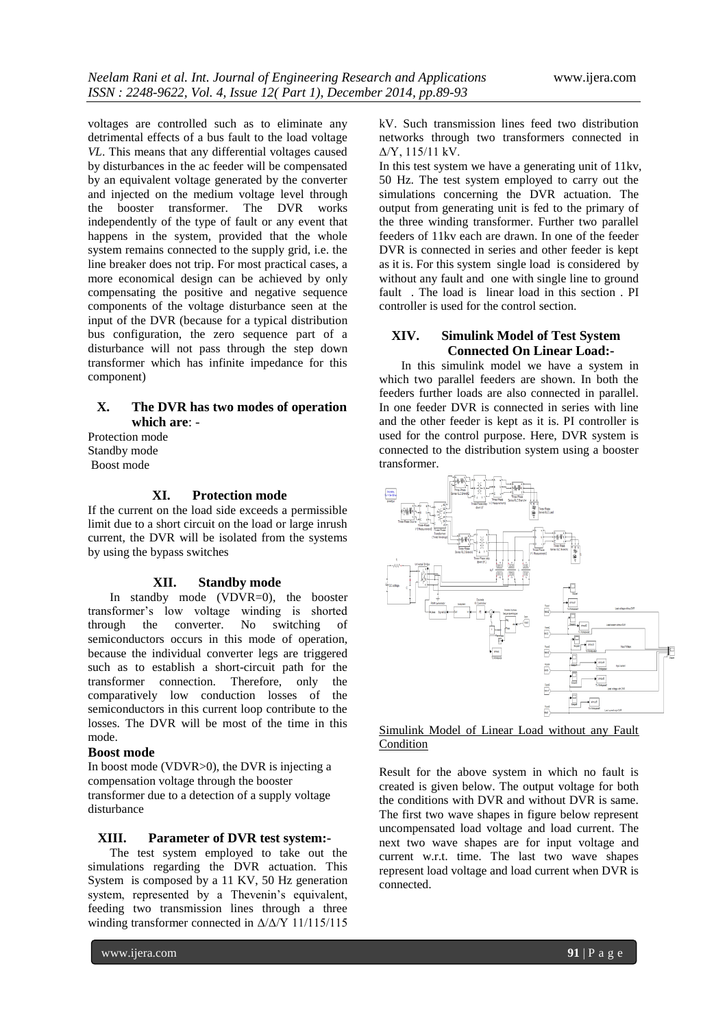voltages are controlled such as to eliminate any detrimental effects of a bus fault to the load voltage *VL*. This means that any differential voltages caused by disturbances in the ac feeder will be compensated by an equivalent voltage generated by the converter and injected on the medium voltage level through the booster transformer. The DVR works independently of the type of fault or any event that happens in the system, provided that the whole system remains connected to the supply grid, i.e. the line breaker does not trip. For most practical cases, a more economical design can be achieved by only compensating the positive and negative sequence components of the voltage disturbance seen at the input of the DVR (because for a typical distribution bus configuration, the zero sequence part of a disturbance will not pass through the step down transformer which has infinite impedance for this component)

# **X. The DVR has two modes of operation which are**: -

Protection mode Standby mode Boost mode

# **XI. Protection mode**

If the current on the load side exceeds a permissible limit due to a short circuit on the load or large inrush current, the DVR will be isolated from the systems by using the bypass switches

### **XII. Standby mode**

In standby mode (VDVR=0), the booster transformer's low voltage winding is shorted through the converter. No switching of semiconductors occurs in this mode of operation, because the individual converter legs are triggered such as to establish a short-circuit path for the transformer connection. Therefore, only the comparatively low conduction losses of the semiconductors in this current loop contribute to the losses. The DVR will be most of the time in this mode.

#### **Boost mode**

In boost mode (VDVR>0), the DVR is injecting a compensation voltage through the booster transformer due to a detection of a supply voltage disturbance

# **XIII. Parameter of DVR test system:-**

The test system employed to take out the simulations regarding the DVR actuation. This System is composed by a 11 KV, 50 Hz generation system, represented by a Thevenin's equivalent, feeding two transmission lines through a three winding transformer connected in Δ/Δ/Y 11/115/115 kV. Such transmission lines feed two distribution networks through two transformers connected in Δ/Y, 115/11 kV.

In this test system we have a generating unit of 11kv, 50 Hz. The test system employed to carry out the simulations concerning the DVR actuation. The output from generating unit is fed to the primary of the three winding transformer. Further two parallel feeders of 11kv each are drawn. In one of the feeder DVR is connected in series and other feeder is kept as it is. For this system single load is considered by without any fault and one with single line to ground fault . The load is linear load in this section . PI controller is used for the control section.

# **XIV. Simulink Model of Test System Connected On Linear Load:-**

In this simulink model we have a system in which two parallel feeders are shown. In both the feeders further loads are also connected in parallel. In one feeder DVR is connected in series with line and the other feeder is kept as it is. PI controller is used for the control purpose. Here, DVR system is connected to the distribution system using a booster transformer.



# Simulink Model of Linear Load without any Fault **Condition**

Result for the above system in which no fault is created is given below. The output voltage for both the conditions with DVR and without DVR is same. The first two wave shapes in figure below represent uncompensated load voltage and load current. The next two wave shapes are for input voltage and current w.r.t. time. The last two wave shapes represent load voltage and load current when DVR is connected.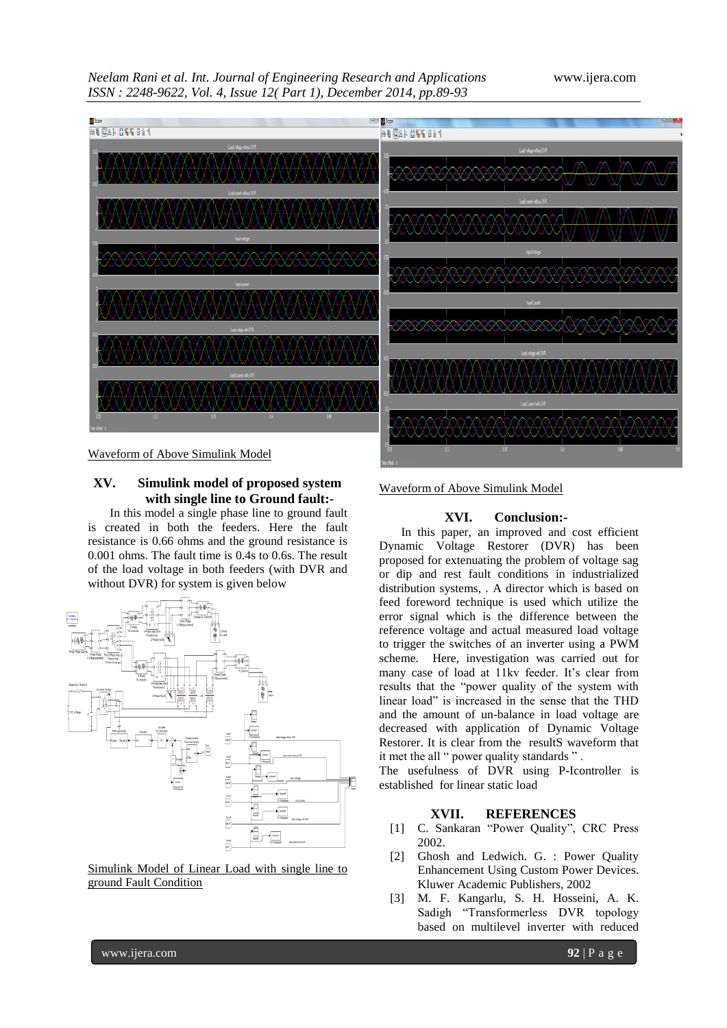*Neelam Rani et al. Int. Journal of Engineering Research and Applications* www.ijera.com *ISSN : 2248-9622, Vol. 4, Issue 12( Part 1), December 2014, pp.89-93*





# **XV. Simulink model of proposed system with single line to Ground fault:-**

In this model a single phase line to ground fault is created in both the feeders. Here the fault resistance is 0.66 ohms and the ground resistance is 0.001 ohms. The fault time is 0.4s to 0.6s. The result of the load voltage in both feeders (with DVR and without DVR) for system is given below



Simulink Model of Linear Load with single line to ground Fault Condition

Waveform of Above Simulink Model

### **XVI. Conclusion:-**

In this paper, an improved and cost efficient Dynamic Voltage Restorer (DVR) has been proposed for extenuating the problem of voltage sag or dip and rest fault conditions in industrialized distribution systems, . A director which is based on feed foreword technique is used which utilize the error signal which is the difference between the reference voltage and actual measured load voltage to trigger the switches of an inverter using a PWM scheme. Here, investigation was carried out for many case of load at 11kv feeder. It's clear from results that the "power quality of the system with linear load" is increased in the sense that the THD and the amount of un-balance in load voltage are decreased with application of Dynamic Voltage Restorer. It is clear from the resultS waveform that it met the all " power quality standards " .

The usefulness of DVR using P-Icontroller is established for linear static load

# **XVII. REFERENCES**

- [1] C. Sankaran "Power Quality", CRC Press 2002.
- [2] Ghosh and Ledwich. G. : Power Quality Enhancement Using Custom Power Devices. Kluwer Academic Publishers, 2002
- [3] M. F. Kangarlu, S. H. Hosseini, A. K. Sadigh "Transformerless DVR topology based on multilevel inverter with reduced